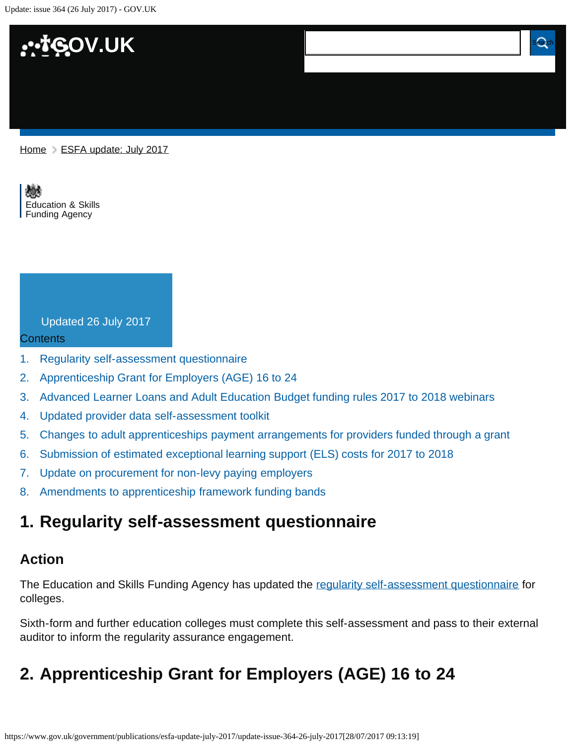Update: issue 364 (26 July 2017) - GOV.UK



[Home](https://www.gov.uk/) > [ESFA update: July 2017](https://www.gov.uk/government/publications/esfa-update-july-2017)

[Education & Skills](https://www.gov.uk/government/organisations/education-and-skills-funding-agency)  [Funding Agency](https://www.gov.uk/government/organisations/education-and-skills-funding-agency)

#### Updated 26 July 2017

#### Contents

- [1.](#page-0-0) [Regularity self-assessment questionnaire](#page-0-0)
- [2.](#page-0-1) [Apprenticeship Grant for Employers \(AGE\) 16 to 24](#page-0-1)
- [3.](#page-1-0) [Advanced Learner Loans and Adult Education Budget funding rules 2017 to 2018 webinars](#page-1-0)
- [4.](#page-1-1) [Updated provider data self-assessment toolkit](#page-1-1)
- [5.](#page-2-0) [Changes to adult apprenticeships payment arrangements for providers funded through a grant](#page-2-0)
- [6.](#page-2-1) [Submission of estimated exceptional learning support \(ELS\) costs for 2017 to 2018](#page-2-1)
- [7.](#page-2-2) [Update on procurement for non-levy paying employers](#page-2-2)
- [8.](#page-3-0) [Amendments to apprenticeship framework funding bands](#page-3-0)

## <span id="page-0-0"></span>**1. Regularity self-assessment questionnaire**

**Update: issue 364 (26 July 2017)**

#### **Action**

The Education and Skills Funding Agency has updated the [regularity self-assessment questionnaire](https://www.gov.uk/government/publications/post-16-audit-code-of-practice) for colleges.

Sixth-form and further education colleges must complete this self-assessment and pass to their external auditor to inform the regularity assurance engagement.

## <span id="page-0-1"></span>**2. Apprenticeship Grant for Employers (AGE) 16 to 24**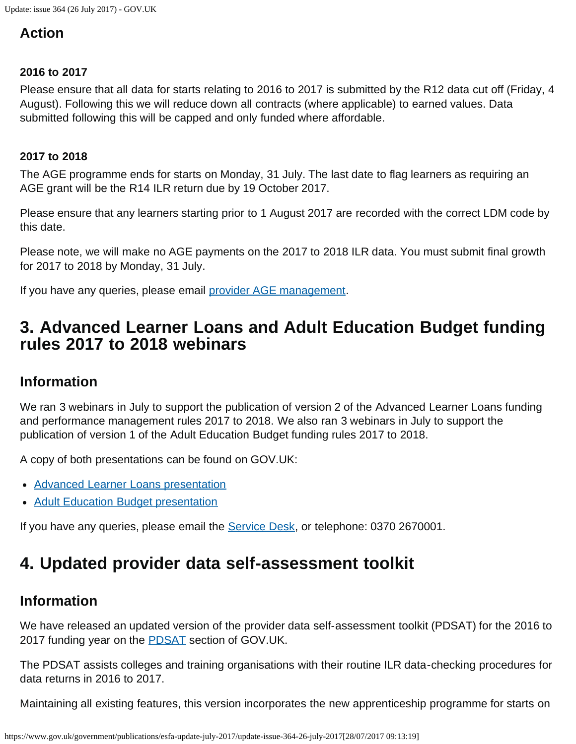### **Action**

#### **2016 to 2017**

Please ensure that all data for starts relating to 2016 to 2017 is submitted by the R12 data cut off (Friday, 4 August). Following this we will reduce down all contracts (where applicable) to earned values. Data submitted following this will be capped and only funded where affordable.

#### **2017 to 2018**

The AGE programme ends for starts on Monday, 31 July. The last date to flag learners as requiring an AGE grant will be the R14 ILR return due by 19 October 2017.

Please ensure that any learners starting prior to 1 August 2017 are recorded with the correct LDM code by this date.

Please note, we will make no AGE payments on the 2017 to 2018 ILR data. You must submit final growth for 2017 to 2018 by Monday, 31 July.

If you have any queries, please email [provider AGE management.](https://www.gov.uk/government/publications/esfa-update-july-2017/providerAGEfacilitymanagement@sfa.bis.gov.uk)

## <span id="page-1-0"></span>**3. Advanced Learner Loans and Adult Education Budget funding rules 2017 to 2018 webinars**

### **Information**

We ran 3 webinars in July to support the publication of version 2 of the Advanced Learner Loans funding and performance management rules 2017 to 2018. We also ran 3 webinars in July to support the publication of version 1 of the Adult Education Budget funding rules 2017 to 2018.

A copy of both presentations can be found on GOV.UK:

- [Advanced Learner Loans presentation](https://www.gov.uk/government/publications/advanced-learner-loans-funding-rules-2017-to-2018)
- [Adult Education Budget presentation](https://www.gov.uk/government/publications/adult-education-budget-funding-and-performance-management-rules-2017-to-2018)

If you have any queries, please email the [Service Desk,](mailto:servicedesk@sfa.bis.gov.uk) or telephone: 0370 2670001.

## <span id="page-1-1"></span>**4. Updated provider data self-assessment toolkit**

### **Information**

We have released an updated version of the provider data self-assessment toolkit (PDSAT) for the 2016 to 2017 funding year on the **PDSAT** section of GOV.UK.

The PDSAT assists colleges and training organisations with their routine ILR data-checking procedures for data returns in 2016 to 2017.

Maintaining all existing features, this version incorporates the new apprenticeship programme for starts on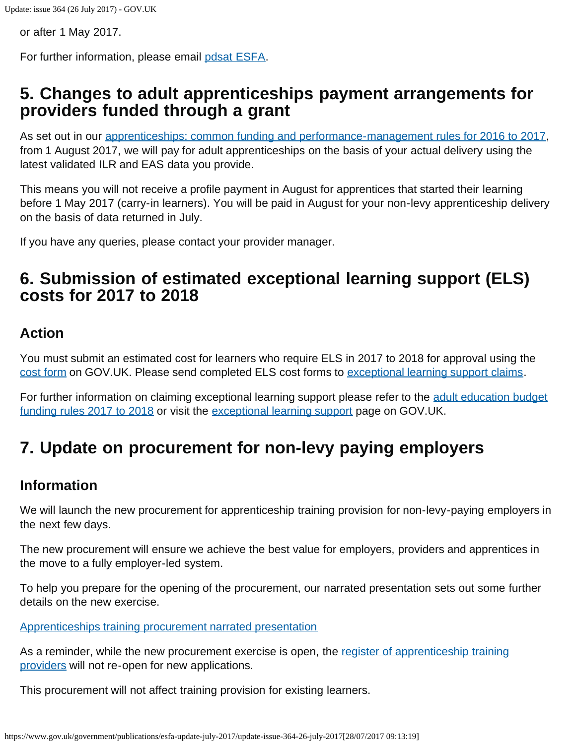or after 1 May 2017.

For further information, please email [pdsat ESFA.](mailto:pdsat.ESFA@education.gov.uk)

## <span id="page-2-0"></span>**5. Changes to adult apprenticeships payment arrangements for providers funded through a grant**

As set out in our [apprenticeships: common funding and performance-management rules for 2016 to 2017,](https://www.gov.uk/government/publications/apprenticeships-common-funding-rules) from 1 August 2017, we will pay for adult apprenticeships on the basis of your actual delivery using the latest validated ILR and EAS data you provide.

This means you will not receive a profile payment in August for apprentices that started their learning before 1 May 2017 (carry-in learners). You will be paid in August for your non-levy apprenticeship delivery on the basis of data returned in July.

If you have any queries, please contact your provider manager.

## <span id="page-2-1"></span>**6. Submission of estimated exceptional learning support (ELS) costs for 2017 to 2018**

### **Action**

You must submit an estimated cost for learners who require ELS in 2017 to 2018 for approval using the [cost form](https://www.gov.uk/government/publications/sfa-exceptional-learning-support-cost-form) on GOV.UK. Please send completed ELS cost forms to [exceptional learning support claims.](https://www.gov.uk/government/publications/esfa-update-july-2017/ExceptionalLearningSupportClaims2016-17@sfa.bis.gov.uk)

For further information on claiming exceptional learning support please refer to the [adult education budget](https://www.gov.uk/government/publications/adult-education-budget-funding-and-performance-management-rules-2017-to-2018) [funding rules 2017 to 2018](https://www.gov.uk/government/publications/adult-education-budget-funding-and-performance-management-rules-2017-to-2018) or visit the [exceptional learning support](https://www.gov.uk/government/publications/sfa-exceptional-learning-support-cost-form) page on GOV.UK.

# <span id="page-2-2"></span>**7. Update on procurement for non-levy paying employers**

### **Information**

We will launch the new procurement for apprenticeship training provision for non-levy-paying employers in the next few days.

The new procurement will ensure we achieve the best value for employers, providers and apprentices in the move to a fully employer-led system.

To help you prepare for the opening of the procurement, our narrated presentation sets out some further details on the new exercise.

[Apprenticeships training procurement narrated presentation](https://youtu.be/51ibO4hYZDo)

As a reminder, while the new procurement exercise is open, the [register of apprenticeship training](https://www.gov.uk/guidance/register-of-apprenticeship-training-providers) [providers](https://www.gov.uk/guidance/register-of-apprenticeship-training-providers) will not re-open for new applications.

This procurement will not affect training provision for existing learners.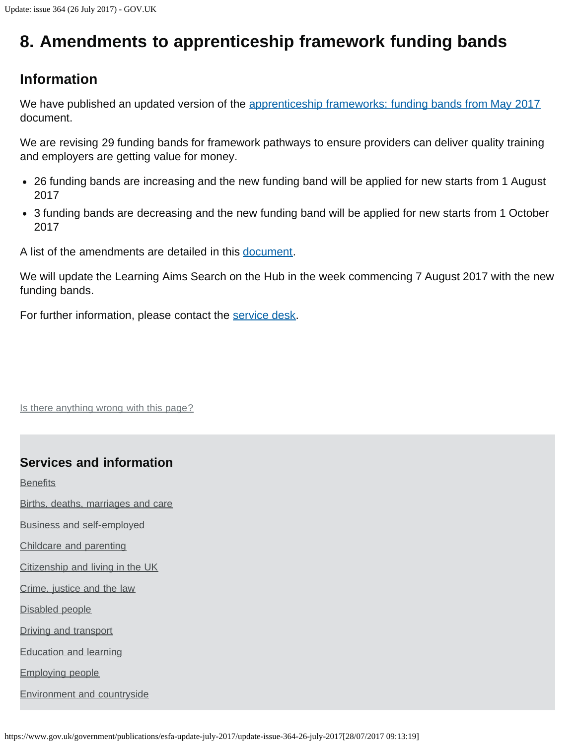# <span id="page-3-0"></span>**8. Amendments to apprenticeship framework funding bands**

### **Information**

We have published an updated version of the [apprenticeship frameworks: funding bands from May 2017](https://www.gov.uk/government/publications/apprenticeship-funding-bands) document.

We are revising 29 funding bands for framework pathways to ensure providers can deliver quality training and employers are getting value for money.

- 26 funding bands are increasing and the new funding band will be applied for new starts from 1 August 2017
- 3 funding bands are decreasing and the new funding band will be applied for new starts from 1 October 2017

A list of the amendments are detailed in this [document](https://www.gov.uk/government/publications/apprenticeship-funding-bands).

We will update the Learning Aims Search on the Hub in the week commencing 7 August 2017 with the new funding bands.

For further information, please contact the [service desk.](mailto:servicedesk2@sfa.bis.gov.uk)

Is there anything wrong with this page?

### **Services and information**

**[Benefits](https://www.gov.uk/browse/benefits)** 

[Births, deaths, marriages and care](https://www.gov.uk/browse/births-deaths-marriages)

[Business and self-employed](https://www.gov.uk/browse/business)

[Childcare and parenting](https://www.gov.uk/browse/childcare-parenting)

[Citizenship and living in the UK](https://www.gov.uk/browse/citizenship)

[Crime, justice and the law](https://www.gov.uk/browse/justice)

[Disabled people](https://www.gov.uk/browse/disabilities)

[Driving and transport](https://www.gov.uk/browse/driving)

[Education and learning](https://www.gov.uk/browse/education)

[Employing people](https://www.gov.uk/browse/employing-people)

[Environment and countryside](https://www.gov.uk/browse/environment-countryside)

https://www.gov.uk/government/publications/esfa-update-july-2017/update-issue-364-26-july-2017[28/07/2017 09:13:19]